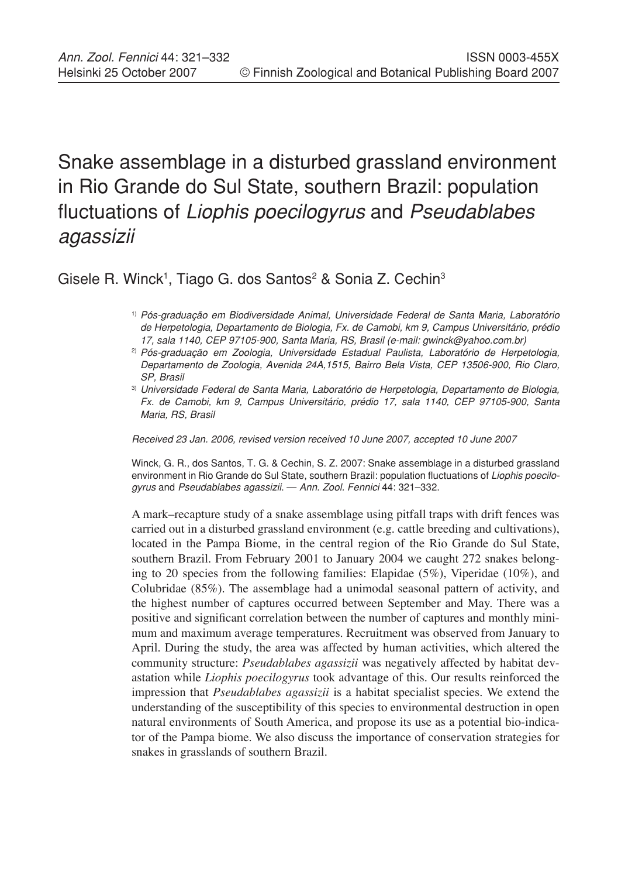# Snake assemblage in a disturbed grassland environment in Rio Grande do Sul State, southern Brazil: population fluctuations of *Liophis poecilogyrus* and *Pseudablabes agassizii*

Gisele R. Winck<sup>1</sup>, Tiago G. dos Santos<sup>2</sup> & Sonia Z. Cechin<sup>3</sup>

- 1) *Pós-graduação em Biodiversidade Animal, Universidade Federal de Santa Maria, Laboratório de Herpetologia, Departamento de Biologia, Fx. de Camobi, km 9, Campus Universitário, prédio 17, sala 1140, CEP 97105-900, Santa Maria, RS, Brasil (e-mail: gwinck@yahoo.com.br)*
- 2) *Pós-graduação em Zoologia, Universidade Estadual Paulista, Laboratório de Herpetologia, Departamento de Zoologia, Avenida 24A,1515, Bairro Bela Vista, CEP 13506-900, Rio Claro, SP, Brasil*
- 3) *Universidade Federal de Santa Maria, Laboratório de Herpetologia, Departamento de Biologia, Fx. de Camobi, km 9, Campus Universitário, prédio 17, sala 1140, CEP 97105-900, Santa Maria, RS, Brasil*

*Received 23 Jan. 2006, revised version received 10 June 2007, accepted 10 June 2007*

Winck, G. R., dos Santos, T. G. & Cechin, S. Z. 2007: Snake assemblage in a disturbed grassland environment in Rio Grande do Sul State, southern Brazil: population fluctuations of *Liophis poecilogyrus* and *Pseudablabes agassizii*. — *Ann. Zool. Fennici* 44: 321–332.

A mark–recapture study of a snake assemblage using pitfall traps with drift fences was carried out in a disturbed grassland environment (e.g. cattle breeding and cultivations), located in the Pampa Biome, in the central region of the Rio Grande do Sul State, southern Brazil. From February 2001 to January 2004 we caught 272 snakes belonging to 20 species from the following families: Elapidae (5%), Viperidae (10%), and Colubridae (85%). The assemblage had a unimodal seasonal pattern of activity, and the highest number of captures occurred between September and May. There was a positive and significant correlation between the number of captures and monthly minimum and maximum average temperatures. Recruitment was observed from January to April. During the study, the area was affected by human activities, which altered the community structure: *Pseudablabes agassizii* was negatively affected by habitat devastation while *Liophis poecilogyrus* took advantage of this. Our results reinforced the impression that *Pseudablabes agassizii* is a habitat specialist species. We extend the understanding of the susceptibility of this species to environmental destruction in open natural environments of South America, and propose its use as a potential bio-indicator of the Pampa biome. We also discuss the importance of conservation strategies for snakes in grasslands of southern Brazil.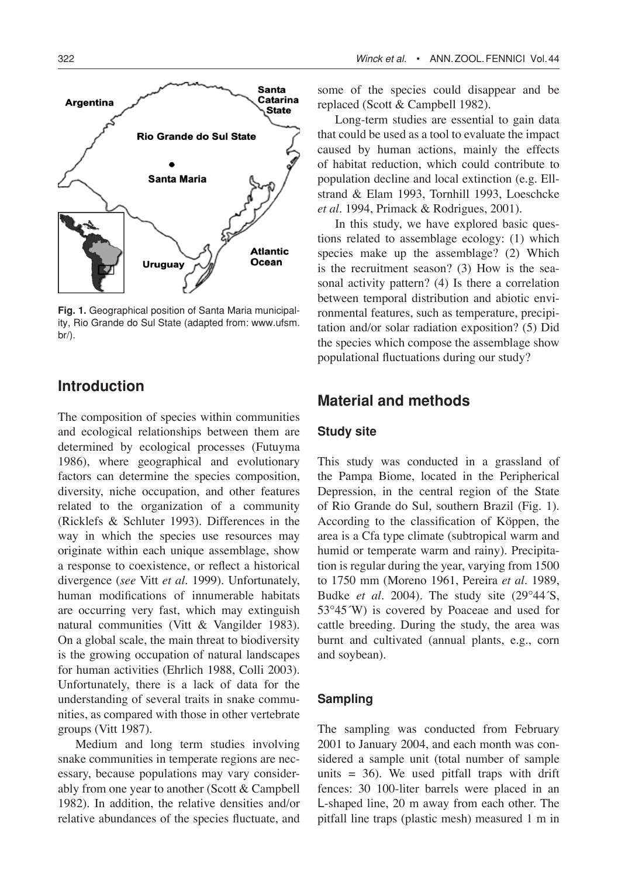322 *Winck et al.* • Ann.ZOOL.Fennici Vol.44



**Fig. 1.** Geographical position of Santa Maria municipality, Rio Grande do Sul State (adapted from: www.ufsm. br/).

# **Introduction**

The composition of species within communities and ecological relationships between them are determined by ecological processes (Futuyma 1986), where geographical and evolutionary factors can determine the species composition, diversity, niche occupation, and other features related to the organization of a community (Ricklefs & Schluter 1993). Differences in the way in which the species use resources may originate within each unique assemblage, show a response to coexistence, or reflect a historical divergence (*see* Vitt *et al.* 1999). Unfortunately, human modifications of innumerable habitats are occurring very fast, which may extinguish natural communities (Vitt & Vangilder 1983). On a global scale, the main threat to biodiversity is the growing occupation of natural landscapes for human activities (Ehrlich 1988, Colli 2003). Unfortunately, there is a lack of data for the understanding of several traits in snake communities, as compared with those in other vertebrate groups (Vitt 1987).

Medium and long term studies involving snake communities in temperate regions are necessary, because populations may vary considerably from one year to another (Scott & Campbell 1982). In addition, the relative densities and/or relative abundances of the species fluctuate, and some of the species could disappear and be replaced (Scott & Campbell 1982).

Long-term studies are essential to gain data that could be used as a tool to evaluate the impact caused by human actions, mainly the effects of habitat reduction, which could contribute to population decline and local extinction (e.g. Ellstrand & Elam 1993, Tornhill 1993, Loeschcke *et al.* 1994, Primack & Rodrigues, 2001).

In this study, we have explored basic questions related to assemblage ecology: (1) which species make up the assemblage? (2) Which is the recruitment season? (3) How is the seasonal activity pattern? (4) Is there a correlation between temporal distribution and abiotic environmental features, such as temperature, precipitation and/or solar radiation exposition? (5) Did the species which compose the assemblage show populational fluctuations during our study?

# **Material and methods**

## **Study site**

This study was conducted in a grassland of the Pampa Biome, located in the Peripherical Depression, in the central region of the State of Rio Grande do Sul, southern Brazil (Fig. 1). According to the classification of Köppen, the area is a Cfa type climate (subtropical warm and humid or temperate warm and rainy). Precipitation is regular during the year, varying from 1500 to 1750 mm (Moreno 1961, Pereira *et al.* 1989, Budke *et al*. 2004). The study site (29°44´S, 53°45´W) is covered by Poaceae and used for cattle breeding. During the study, the area was burnt and cultivated (annual plants, e.g., corn and soybean).

## **Sampling**

The sampling was conducted from February 2001 to January 2004, and each month was considered a sample unit (total number of sample units  $= 36$ ). We used pitfall traps with drift fences: 30 100-liter barrels were placed in an L-shaped line, 20 m away from each other. The pitfall line traps (plastic mesh) measured 1 m in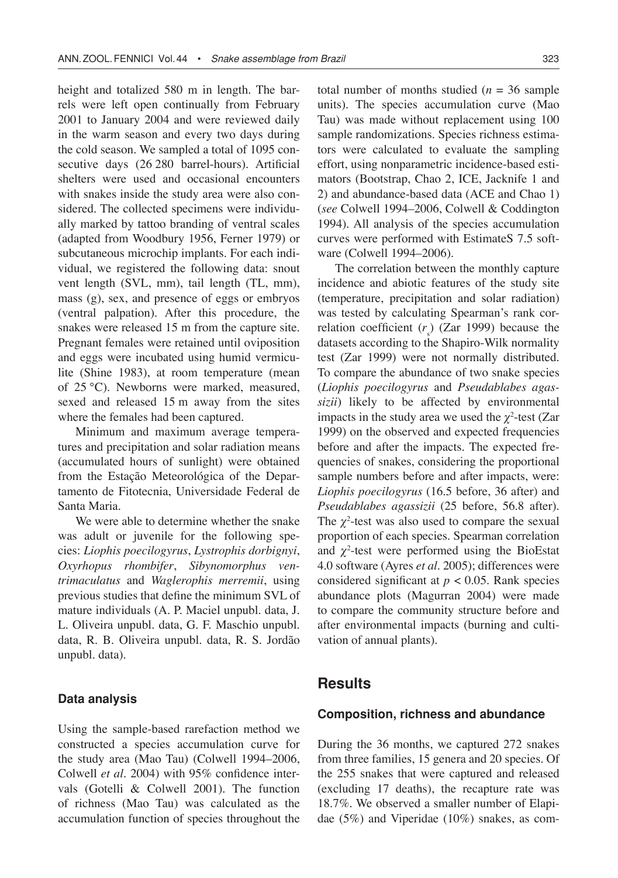height and totalized 580 m in length. The barrels were left open continually from February 2001 to January 2004 and were reviewed daily in the warm season and every two days during the cold season. We sampled a total of 1095 consecutive days (26 280 barrel-hours). Artificial shelters were used and occasional encounters with snakes inside the study area were also considered. The collected specimens were individually marked by tattoo branding of ventral scales (adapted from Woodbury 1956, Ferner 1979) or subcutaneous microchip implants. For each individual, we registered the following data: snout vent length (SVL, mm), tail length (TL, mm), mass (g), sex, and presence of eggs or embryos (ventral palpation). After this procedure, the snakes were released 15 m from the capture site. Pregnant females were retained until oviposition and eggs were incubated using humid vermiculite (Shine 1983), at room temperature (mean of 25 °C). Newborns were marked, measured, sexed and released 15 m away from the sites where the females had been captured.

Minimum and maximum average temperatures and precipitation and solar radiation means (accumulated hours of sunlight) were obtained from the Estação Meteorológica of the Departamento de Fitotecnia, Universidade Federal de Santa Maria.

We were able to determine whether the snake was adult or juvenile for the following species: *Liophis poecilogyrus*, *Lystrophis dorbignyi*, *Oxyrhopus rhombifer*, *Sibynomorphus ventrimaculatus* and *Waglerophis merremii*, using previous studies that define the minimum SVL of mature individuals (A. P. Maciel unpubl. data, J. L. Oliveira unpubl. data, G. F. Maschio unpubl. data, R. B. Oliveira unpubl. data, R. S. Jordão unpubl. data).

#### **Data analysis**

Using the sample-based rarefaction method we constructed a species accumulation curve for the study area (Mao Tau) (Colwell 1994–2006, Colwell *et al*. 2004) with 95% confidence intervals (Gotelli & Colwell 2001). The function of richness (Mao Tau) was calculated as the accumulation function of species throughout the total number of months studied  $(n = 36 \text{ sample})$ units). The species accumulation curve (Mao Tau) was made without replacement using 100 sample randomizations. Species richness estimators were calculated to evaluate the sampling effort, using nonparametric incidence-based estimators (Bootstrap, Chao 2, ICE, Jacknife 1 and 2) and abundance-based data (ACE and Chao 1) (*see* Colwell 1994–2006, Colwell & Coddington 1994). All analysis of the species accumulation curves were performed with EstimateS 7.5 software (Colwell 1994–2006).

The correlation between the monthly capture incidence and abiotic features of the study site (temperature, precipitation and solar radiation) was tested by calculating Spearman's rank correlation coefficient  $(r<sub>s</sub>)$  (Zar 1999) because the datasets according to the Shapiro-Wilk normality test (Zar 1999) were not normally distributed. To compare the abundance of two snake species (*Liophis poecilogyrus* and *Pseudablabes agassizii*) likely to be affected by environmental impacts in the study area we used the  $\chi^2$ -test (Zar 1999) on the observed and expected frequencies before and after the impacts. The expected frequencies of snakes, considering the proportional sample numbers before and after impacts, were: *Liophis poecilogyrus* (16.5 before, 36 after) and *Pseudablabes agassizii* (25 before, 56.8 after). The  $\chi^2$ -test was also used to compare the sexual proportion of each species. Spearman correlation and  $\chi^2$ -test were performed using the BioEstat 4.0 software (Ayres *et al*. 2005); differences were considered significant at  $p < 0.05$ . Rank species abundance plots (Magurran 2004) were made to compare the community structure before and after environmental impacts (burning and cultivation of annual plants).

# **Results**

## **Composition, richness and abundance**

During the 36 months, we captured 272 snakes from three families, 15 genera and 20 species. Of the 255 snakes that were captured and released (excluding 17 deaths), the recapture rate was 18.7%. We observed a smaller number of Elapidae (5%) and Viperidae (10%) snakes, as com-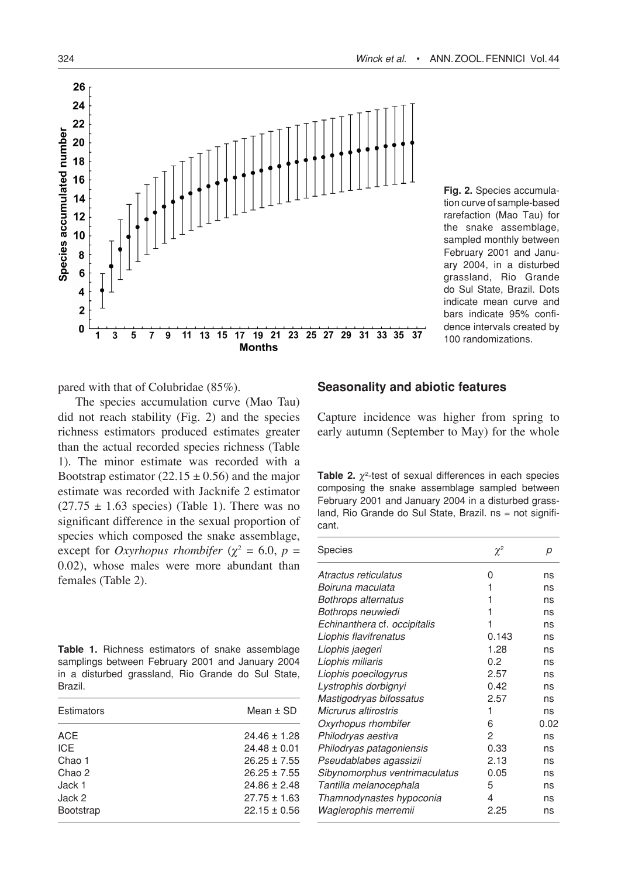



**Fig. 2.** Species accumulation curve of sample-based rarefaction (Mao Tau) for the snake assemblage, sampled monthly between February 2001 and January 2004, in a disturbed grassland, Rio Grande do Sul State, Brazil. Dots indicate mean curve and bars indicate 95% confidence intervals created by 100 randomizations.

pared with that of Colubridae (85%).

The species accumulation curve (Mao Tau) did not reach stability (Fig. 2) and the species richness estimators produced estimates greater than the actual recorded species richness (Table 1). The minor estimate was recorded with a Bootstrap estimator (22.15  $\pm$  0.56) and the major estimate was recorded with Jacknife 2 estimator  $(27.75 \pm 1.63$  species) (Table 1). There was no significant difference in the sexual proportion of species which composed the snake assemblage, except for *Oxyrhopus rhombifer* ( $\chi^2 = 6.0$ ,  $p =$ 0.02), whose males were more abundant than females (Table 2).

| Table 1. Richness estimators of snake assemblage   |
|----------------------------------------------------|
| samplings between February 2001 and January 2004   |
| in a disturbed grassland. Rio Grande do Sul State, |
| Brazil.                                            |

| Estimators       | Mean $\pm$ SD    |
|------------------|------------------|
| <b>ACE</b>       | $24.46 \pm 1.28$ |
| <b>ICE</b>       | $24.48 \pm 0.01$ |
| Chao 1           | $26.25 \pm 7.55$ |
| Chao 2           | $26.25 \pm 7.55$ |
| Jack 1           | $24.86 \pm 2.48$ |
| Jack 2           | $27.75 \pm 1.63$ |
| <b>Bootstrap</b> | $22.15 \pm 0.56$ |

## **Seasonality and abiotic features**

Capture incidence was higher from spring to early autumn (September to May) for the whole

**Table 2.** *χ*<sup>2</sup> -test of sexual differences in each species composing the snake assemblage sampled between February 2001 and January 2004 in a disturbed grassland, Rio Grande do Sul State, Brazil. ns = not significant.

| <b>Species</b>                | $\chi^2$ | р    |
|-------------------------------|----------|------|
| Atractus reticulatus          | 0        | ns   |
| Boiruna maculata              | 1        | ns   |
| Bothrops alternatus           |          | ns   |
| Bothrops neuwiedi             | 1        | ns   |
| Echinanthera cf. occipitalis  | 1        | ns   |
| Liophis flavifrenatus         | 0.143    | ns   |
| Liophis jaegeri               | 1.28     | ns   |
| Liophis miliaris              | 0.2      | ns   |
| Liophis poecilogyrus          | 2.57     | ns   |
| Lystrophis dorbignyi          | 0.42     | ns   |
| Mastigodryas bifossatus       | 2.57     | ns   |
| Micrurus altirostris          | 1        | ns   |
| Oxyrhopus rhombifer           | 6        | 0.02 |
| Philodryas aestiva            | 2        | ns   |
| Philodryas patagoniensis      | 0.33     | ns   |
| Pseudablabes agassizii        | 2.13     | ns   |
| Sibynomorphus ventrimaculatus | 0.05     | ns   |
| Tantilla melanocephala        | 5        | ns   |
| Thamnodynastes hypoconia      | 4        | ns   |
| Waglerophis merremii          | 2.25     | ns   |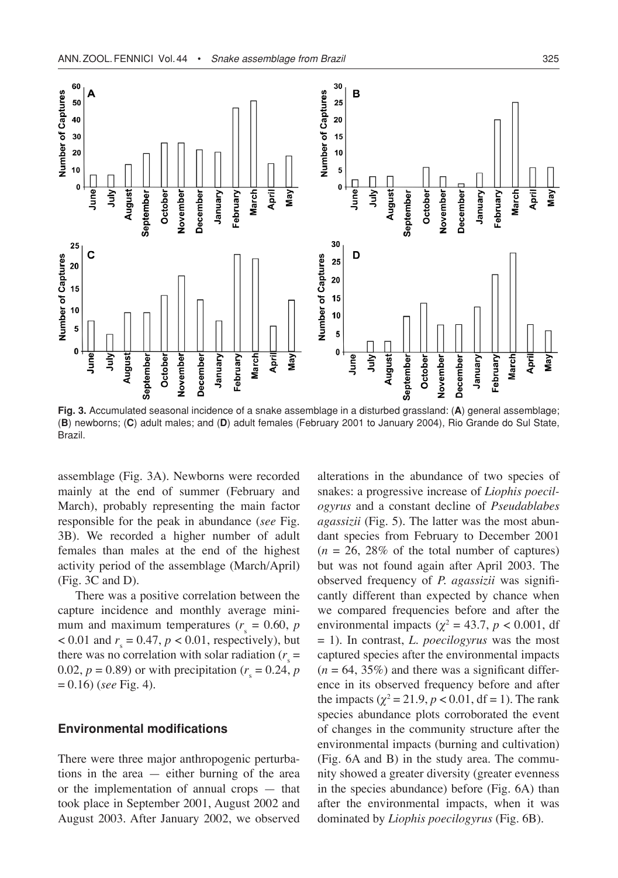

**Fig. 3.** Accumulated seasonal incidence of a snake assemblage in a disturbed grassland: (**A**) general assemblage; (**B**) newborns; (**C**) adult males; and (**D**) adult females (February 2001 to January 2004), Rio Grande do Sul State, Brazil.

assemblage (Fig. 3A). Newborns were recorded mainly at the end of summer (February and March), probably representing the main factor responsible for the peak in abundance (*see* Fig. 3B). We recorded a higher number of adult females than males at the end of the highest activity period of the assemblage (March/April) (Fig. 3C and D).

There was a positive correlation between the capture incidence and monthly average minimum and maximum temperatures ( $r<sub>s</sub> = 0.60$ , *p*  $< 0.01$  and  $r_s = 0.47$ ,  $p < 0.01$ , respectively), but there was no correlation with solar radiation  $(r<sub>s</sub> =$ 0.02,  $p = 0.89$ ) or with precipitation ( $r_s = 0.24$ ,  $p$ = 0.16) (*see* Fig. 4).

#### **Environmental modifications**

There were three major anthropogenic perturbations in the area — either burning of the area or the implementation of annual crops — that took place in September 2001, August 2002 and August 2003. After January 2002, we observed

alterations in the abundance of two species of snakes: a progressive increase of *Liophis poecilogyrus* and a constant decline of *Pseudablabes agassizii* (Fig. 5)*.* The latter was the most abundant species from February to December 2001  $(n = 26, 28\%$  of the total number of captures) but was not found again after April 2003. The observed frequency of *P. agassizii* was significantly different than expected by chance when we compared frequencies before and after the environmental impacts ( $\chi^2 = 43.7$ ,  $p < 0.001$ , df = 1). In contrast, *L. poecilogyrus* was the most captured species after the environmental impacts  $(n = 64, 35\%)$  and there was a significant difference in its observed frequency before and after the impacts ( $\chi^2 = 21.9$ ,  $p < 0.01$ , df = 1). The rank species abundance plots corroborated the event of changes in the community structure after the environmental impacts (burning and cultivation) (Fig. 6A and B) in the study area. The community showed a greater diversity (greater evenness in the species abundance) before (Fig. 6A) than after the environmental impacts, when it was dominated by *Liophis poecilogyrus* (Fig. 6B).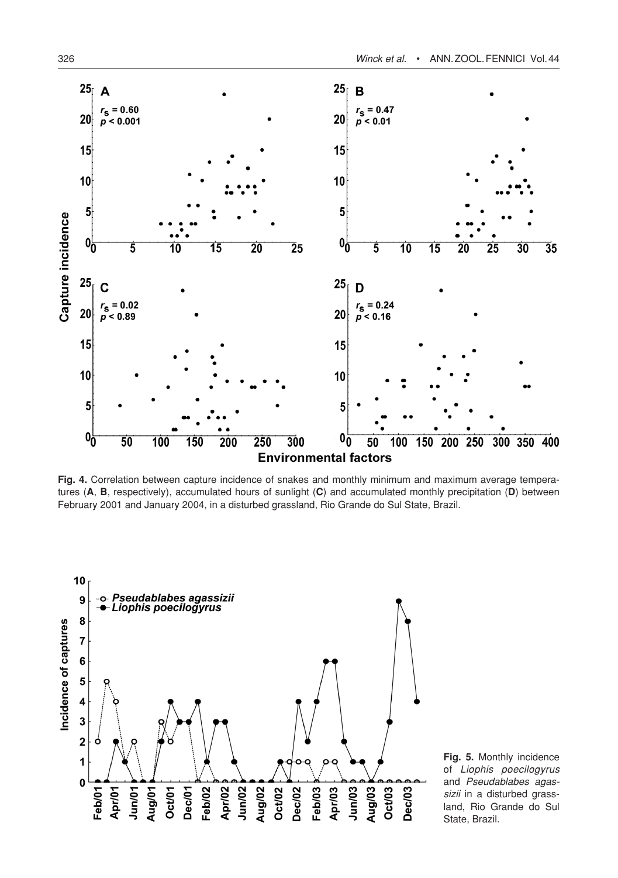

**Fig. 4.** Correlation between capture incidence of snakes and monthly minimum and maximum average temperatures (**A**, **B**, respectively), accumulated hours of sunlight (**C**) and accumulated monthly precipitation (**D**) between February 2001 and January 2004, in a disturbed grassland, Rio Grande do Sul State, Brazil.



**Fig. 5.** Monthly incidence of *Liophis poecilogyrus*  and *Pseudablabes agassizii* in a disturbed grassland, Rio Grande do Sul State, Brazil.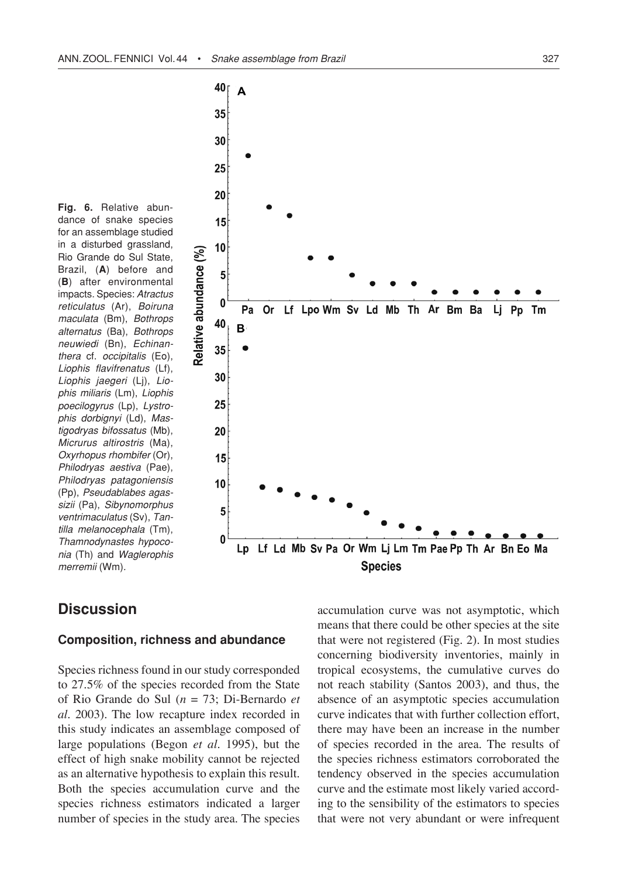**Fig. 6.** Relative abundance of snake species for an assemblage studied in a disturbed grassland, Rio Grande do Sul State, Brazil, (**A**) before and (**B**) after environmental impacts. Species: *Atractus reticulatus* (Ar), *Boiruna maculata* (Bm), *Bothrops alternatus* (Ba), *Bothrops neuwiedi* (Bn), *Echinanthera* cf. *occipitalis* (Eo), *Liophis flavifrenatus* (Lf), *Liophis jaegeri* (Lj), *Liophis miliaris* (Lm), *Liophis poecilogyrus* (Lp), *Lystrophis dorbignyi* (Ld), *Mastigodryas bifossatus* (Mb), *Micrurus altirostris* (Ma), *Oxyrhopus rhombifer* (Or), *Philodryas aestiva* (Pae), *Philodryas patagoniensis* (Pp), *Pseudablabes agassizii* (Pa), *Sibynomorphus ventrimaculatus* (Sv), *Tantilla melanocephala* (Tm), *Thamnodynastes hypoconia* (Th) and *Waglerophis merremii* (Wm)*.*



# **Discussion**

#### **Composition, richness and abundance**

Species richness found in our study corresponded to 27.5% of the species recorded from the State of Rio Grande do Sul (*n* = 73; Di-Bernardo *et al.* 2003). The low recapture index recorded in this study indicates an assemblage composed of large populations (Begon *et al.* 1995), but the effect of high snake mobility cannot be rejected as an alternative hypothesis to explain this result. Both the species accumulation curve and the species richness estimators indicated a larger number of species in the study area. The species

accumulation curve was not asymptotic, which means that there could be other species at the site that were not registered (Fig. 2). In most studies concerning biodiversity inventories, mainly in tropical ecosystems, the cumulative curves do not reach stability (Santos 2003), and thus, the absence of an asymptotic species accumulation curve indicates that with further collection effort, there may have been an increase in the number of species recorded in the area. The results of the species richness estimators corroborated the tendency observed in the species accumulation curve and the estimate most likely varied according to the sensibility of the estimators to species that were not very abundant or were infrequent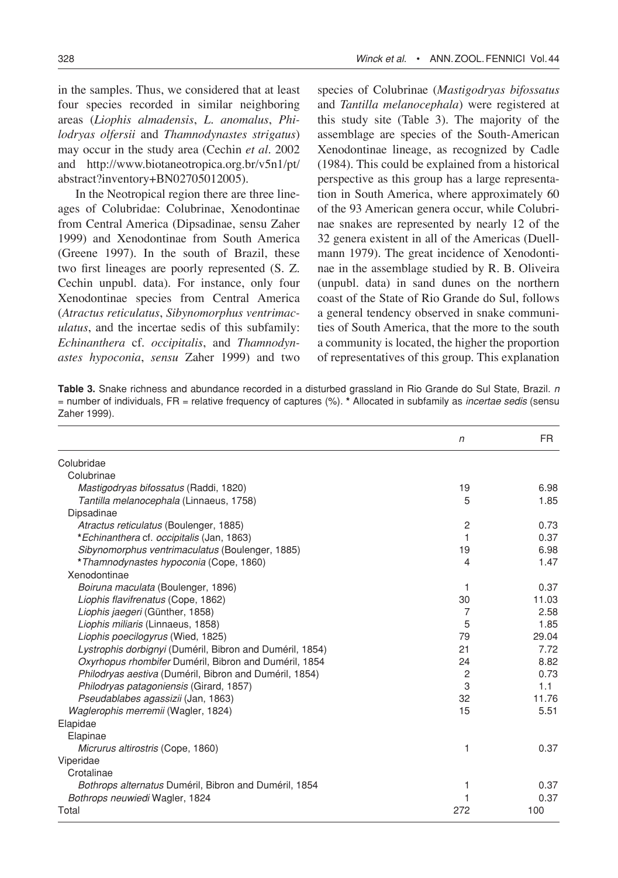in the samples. Thus, we considered that at least four species recorded in similar neighboring areas (*Liophis almadensis*, *L. anomalus*, *Philodryas olfersii* and *Thamnodynastes strigatus*) may occur in the study area (Cechin *et al*. 2002 and http://www.biotaneotropica.org.br/v5n1/pt/ abstract?inventory+BN02705012005).

In the Neotropical region there are three lineages of Colubridae: Colubrinae, Xenodontinae from Central America (Dipsadinae, sensu Zaher 1999) and Xenodontinae from South America (Greene 1997). In the south of Brazil, these two first lineages are poorly represented (S. Z. Cechin unpubl. data). For instance, only four Xenodontinae species from Central America (*Atractus reticulatus*, *Sibynomorphus ventrimaculatus*, and the incertae sedis of this subfamily: *Echinanthera* cf. *occipitalis*, and *Thamnodynastes hypoconia*, *sensu* Zaher 1999) and two

species of Colubrinae (*Mastigodryas bifossatus*  and *Tantilla melanocephala*) were registered at this study site (Table 3). The majority of the assemblage are species of the South-American Xenodontinae lineage, as recognized by Cadle (1984). This could be explained from a historical perspective as this group has a large representation in South America, where approximately 60 of the 93 American genera occur, while Colubrinae snakes are represented by nearly 12 of the 32 genera existent in all of the Americas (Duellmann 1979). The great incidence of Xenodontinae in the assemblage studied by R. B. Oliveira (unpubl. data) in sand dunes on the northern coast of the State of Rio Grande do Sul, follows a general tendency observed in snake communities of South America, that the more to the south a community is located, the higher the proportion of representatives of this group. This explanation

**Table 3.** Snake richness and abundance recorded in a disturbed grassland in Rio Grande do Sul State, Brazil. *n* = number of individuals, FR = relative frequency of captures (%). **\*** Allocated in subfamily as *incertae sedis* (sensu Zaher 1999).

|                                                          | $\sqrt{n}$     | <b>FR</b> |
|----------------------------------------------------------|----------------|-----------|
| Colubridae                                               |                |           |
| Colubrinae                                               |                |           |
| <i>Mastigodryas bifossatus</i> (Raddi, 1820)             | 19             | 6.98      |
| Tantilla melanocephala (Linnaeus, 1758)                  | 5              | 1.85      |
| Dipsadinae                                               |                |           |
| Atractus reticulatus (Boulenger, 1885)                   | $\overline{c}$ | 0.73      |
| *Echinanthera cf. occipitalis (Jan, 1863)                | 1              | 0.37      |
| Sibynomorphus ventrimaculatus (Boulenger, 1885)          | 19             | 6.98      |
| *Thamnodynastes hypoconia (Cope, 1860)                   | 4              | 1.47      |
| Xenodontinae                                             |                |           |
| Boiruna maculata (Boulenger, 1896)                       | 1              | 0.37      |
| Liophis flavifrenatus (Cope, 1862)                       | 30             | 11.03     |
| Liophis jaegeri (Günther, 1858)                          | 7              | 2.58      |
| Liophis miliaris (Linnaeus, 1858)                        | 5              | 1.85      |
| Liophis poecilogyrus (Wied, 1825)                        | 79             | 29.04     |
| Lystrophis dorbignyi (Duméril, Bibron and Duméril, 1854) | 21             | 7.72      |
| Oxyrhopus rhombifer Duméril, Bibron and Duméril, 1854    | 24             | 8.82      |
| Philodryas aestiva (Duméril, Bibron and Duméril, 1854)   | 2              | 0.73      |
| Philodryas patagoniensis (Girard, 1857)                  | 3              | 1.1       |
| Pseudablabes agassizii (Jan. 1863)                       | 32             | 11.76     |
| Waglerophis merremii (Wagler, 1824)                      | 15             | 5.51      |
| Elapidae                                                 |                |           |
| Elapinae                                                 |                |           |
| Micrurus altirostris (Cope, 1860)                        | 1              | 0.37      |
| Viperidae                                                |                |           |
| Crotalinae                                               |                |           |
| Bothrops alternatus Duméril, Bibron and Duméril, 1854    | 1              | 0.37      |
| Bothrops neuwiedi Wagler, 1824                           |                | 0.37      |
| Total                                                    | 272            | 100       |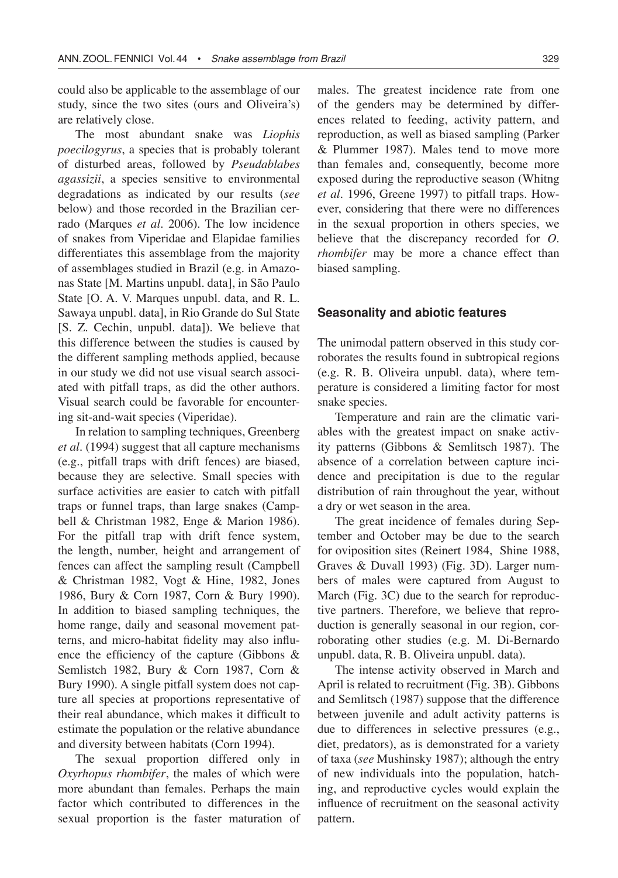could also be applicable to the assemblage of our study, since the two sites (ours and Oliveira's) are relatively close.

The most abundant snake was *Liophis poecilogyrus*, a species that is probably tolerant of disturbed areas, followed by *Pseudablabes agassizii*, a species sensitive to environmental degradations as indicated by our results (*see* below) and those recorded in the Brazilian cerrado (Marques *et al*. 2006). The low incidence of snakes from Viperidae and Elapidae families differentiates this assemblage from the majority of assemblages studied in Brazil (e.g. in Amazonas State [M. Martins unpubl. data], in São Paulo State [O. A. V. Marques unpubl. data, and R. L. Sawaya unpubl. data], in Rio Grande do Sul State [S. Z. Cechin, unpubl. data]). We believe that this difference between the studies is caused by the different sampling methods applied, because in our study we did not use visual search associated with pitfall traps, as did the other authors. Visual search could be favorable for encountering sit-and-wait species (Viperidae).

In relation to sampling techniques, Greenberg *et al*. (1994) suggest that all capture mechanisms (e.g., pitfall traps with drift fences) are biased, because they are selective. Small species with surface activities are easier to catch with pitfall traps or funnel traps, than large snakes (Campbell & Christman 1982, Enge & Marion 1986). For the pitfall trap with drift fence system, the length, number, height and arrangement of fences can affect the sampling result (Campbell & Christman 1982, Vogt & Hine, 1982, Jones 1986, Bury & Corn 1987, Corn & Bury 1990). In addition to biased sampling techniques, the home range, daily and seasonal movement patterns, and micro-habitat fidelity may also influence the efficiency of the capture (Gibbons & Semlistch 1982, Bury & Corn 1987, Corn & Bury 1990). A single pitfall system does not capture all species at proportions representative of their real abundance, which makes it difficult to estimate the population or the relative abundance and diversity between habitats (Corn 1994).

The sexual proportion differed only in *Oxyrhopus rhombifer*, the males of which were more abundant than females. Perhaps the main factor which contributed to differences in the sexual proportion is the faster maturation of males. The greatest incidence rate from one of the genders may be determined by differences related to feeding, activity pattern, and reproduction, as well as biased sampling (Parker & Plummer 1987). Males tend to move more than females and, consequently, become more exposed during the reproductive season (Whitng *et al.* 1996, Greene 1997) to pitfall traps. However, considering that there were no differences in the sexual proportion in others species, we believe that the discrepancy recorded for *O. rhombifer* may be more a chance effect than biased sampling.

#### **Seasonality and abiotic features**

The unimodal pattern observed in this study corroborates the results found in subtropical regions (e.g. R. B. Oliveira unpubl. data), where temperature is considered a limiting factor for most snake species.

Temperature and rain are the climatic variables with the greatest impact on snake activity patterns (Gibbons & Semlitsch 1987). The absence of a correlation between capture incidence and precipitation is due to the regular distribution of rain throughout the year, without a dry or wet season in the area.

The great incidence of females during September and October may be due to the search for oviposition sites (Reinert 1984, Shine 1988, Graves & Duvall 1993) (Fig. 3D). Larger numbers of males were captured from August to March (Fig. 3C) due to the search for reproductive partners. Therefore, we believe that reproduction is generally seasonal in our region, corroborating other studies (e.g. M. Di-Bernardo unpubl. data, R. B. Oliveira unpubl. data).

The intense activity observed in March and April is related to recruitment (Fig. 3B). Gibbons and Semlitsch (1987) suppose that the difference between juvenile and adult activity patterns is due to differences in selective pressures (e.g., diet, predators), as is demonstrated for a variety of taxa (*see* Mushinsky 1987); although the entry of new individuals into the population, hatching, and reproductive cycles would explain the influence of recruitment on the seasonal activity pattern.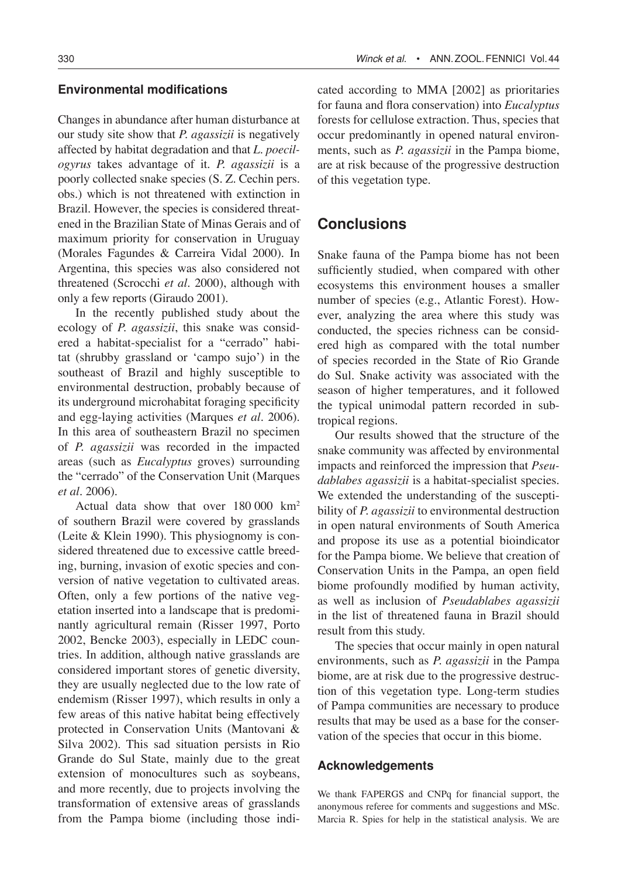## **Environmental modifications**

Changes in abundance after human disturbance at our study site show that *P. agassizii* is negatively affected by habitat degradation and that *L. poecilogyrus* takes advantage of it. *P. agassizii* is a poorly collected snake species (S. Z. Cechin pers. obs.) which is not threatened with extinction in Brazil. However, the species is considered threatened in the Brazilian State of Minas Gerais and of maximum priority for conservation in Uruguay (Morales Fagundes & Carreira Vidal 2000). In Argentina, this species was also considered not threatened (Scrocchi *et al.* 2000), although with only a few reports (Giraudo 2001).

In the recently published study about the ecology of *P. agassizii*, this snake was considered a habitat-specialist for a "cerrado" habitat (shrubby grassland or 'campo sujo') in the southeast of Brazil and highly susceptible to environmental destruction, probably because of its underground microhabitat foraging specificity and egg-laying activities (Marques *et al.* 2006). In this area of southeastern Brazil no specimen of *P. agassizii* was recorded in the impacted areas (such as *Eucalyptus* groves) surrounding the "cerrado" of the Conservation Unit (Marques *et al.* 2006).

Actual data show that over 180 000 km2 of southern Brazil were covered by grasslands (Leite & Klein 1990). This physiognomy is considered threatened due to excessive cattle breeding, burning, invasion of exotic species and conversion of native vegetation to cultivated areas. Often, only a few portions of the native vegetation inserted into a landscape that is predominantly agricultural remain (Risser 1997, Porto 2002, Bencke 2003), especially in LEDC countries. In addition, although native grasslands are considered important stores of genetic diversity, they are usually neglected due to the low rate of endemism (Risser 1997), which results in only a few areas of this native habitat being effectively protected in Conservation Units (Mantovani & Silva 2002). This sad situation persists in Rio Grande do Sul State, mainly due to the great extension of monocultures such as soybeans, and more recently, due to projects involving the transformation of extensive areas of grasslands from the Pampa biome (including those indicated according to MMA [2002] as prioritaries for fauna and flora conservation) into *Eucalyptus* forests for cellulose extraction. Thus, species that occur predominantly in opened natural environments, such as *P. agassizii* in the Pampa biome, are at risk because of the progressive destruction of this vegetation type.

# **Conclusions**

Snake fauna of the Pampa biome has not been sufficiently studied, when compared with other ecosystems this environment houses a smaller number of species (e.g., Atlantic Forest). However, analyzing the area where this study was conducted, the species richness can be considered high as compared with the total number of species recorded in the State of Rio Grande do Sul. Snake activity was associated with the season of higher temperatures, and it followed the typical unimodal pattern recorded in subtropical regions.

Our results showed that the structure of the snake community was affected by environmental impacts and reinforced the impression that *Pseudablabes agassizii* is a habitat-specialist species. We extended the understanding of the susceptibility of *P. agassizii* to environmental destruction in open natural environments of South America and propose its use as a potential bioindicator for the Pampa biome. We believe that creation of Conservation Units in the Pampa, an open field biome profoundly modified by human activity, as well as inclusion of *Pseudablabes agassizii* in the list of threatened fauna in Brazil should result from this study.

The species that occur mainly in open natural environments, such as *P. agassizii* in the Pampa biome, are at risk due to the progressive destruction of this vegetation type. Long-term studies of Pampa communities are necessary to produce results that may be used as a base for the conservation of the species that occur in this biome.

## **Acknowledgements**

We thank FAPERGS and CNPq for financial support, the anonymous referee for comments and suggestions and MSc. Marcia R. Spies for help in the statistical analysis. We are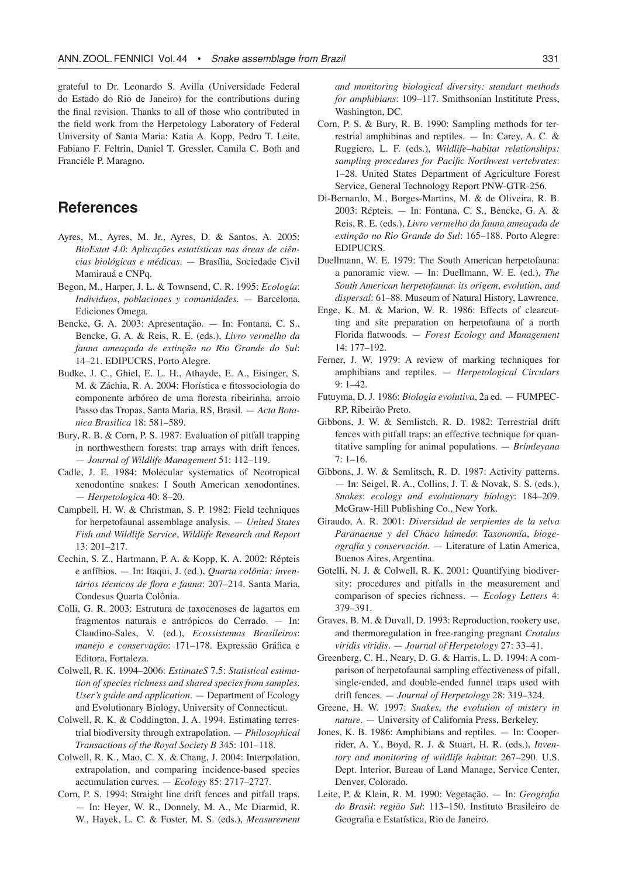grateful to Dr. Leonardo S. Avilla (Universidade Federal do Estado do Rio de Janeiro) for the contributions during the final revision. Thanks to all of those who contributed in the field work from the Herpetology Laboratory of Federal University of Santa Maria: Katia A. Kopp, Pedro T. Leite, Fabiano F. Feltrin, Daniel T. Gressler, Camila C. Both and Franciéle P. Maragno.

# **References**

- Ayres, M., Ayres, M. Jr., Ayres, D. & Santos, A. 2005: *BioEstat 4.0*: *Aplicações estatísticas nas áreas de ciências biológicas e médicas*. — Brasília, Sociedade Civil Mamirauá e CNPq.
- Begon, M., Harper, J. L. & Townsend, C. R. 1995: *Ecología*: *Individuos*, *poblaciones y comunidades*. — Barcelona, Ediciones Omega.
- Bencke, G. A. 2003: Apresentação. In: Fontana, C. S., Bencke, G. A. & Reis, R. E. (eds.), *Livro vermelho da fauna ameaçada de extinção no Rio Grande do Sul*: 14–21. EDIPUCRS, Porto Alegre.
- Budke, J. C., Ghiel, E. L. H., Athayde, E. A., Eisinger, S. M. & Záchia, R. A. 2004: Florística e fitossociologia do componente arbóreo de uma floresta ribeirinha, arroio Passo das Tropas, Santa Maria, RS, Brasil. — *Acta Botanica Brasilica* 18: 581–589.
- Bury, R. B. & Corn, P. S. 1987: Evaluation of pitfall trapping in northwesthern forests: trap arrays with drift fences. — *Journal of Wildlife Management* 51: 112–119.
- Cadle, J. E. 1984: Molecular systematics of Neotropical xenodontine snakes: I South American xenodontines. — *Herpetologica* 40: 8–20.
- Campbell, H. W. & Christman, S. P. 1982: Field techniques for herpetofaunal assemblage analysis. — *United States Fish and Wildlife Service*, *Wildlife Research and Report* 13: 201–217.
- Cechin, S. Z., Hartmann, P. A. & Kopp, K. A. 2002: Répteis e anfíbios. — In: Itaqui, J. (ed.), *Quarta colônia: inventários técnicos de flora e fauna*: 207–214. Santa Maria, Condesus Quarta Colônia.
- Colli, G. R. 2003: Estrutura de taxocenoses de lagartos em fragmentos naturais e antrópicos do Cerrado. — In: Claudino-Sales, V. (ed.), *Ecossistemas Brasileiros*: *manejo e conservação*: 171–178. Expressão Gráfica e Editora, Fortaleza.
- Colwell, R. K. 1994–2006: *EstimateS* 7.5: *Statistical estimation of species richness and shared species from samples. User's guide and application*. — Department of Ecology and Evolutionary Biology, University of Connecticut.
- Colwell, R. K. & Coddington, J. A. 1994. Estimating terrestrial biodiversity through extrapolation. — *Philosophical Transactions of the Royal Society B* 345: 101–118.
- Colwell, R. K., Mao, C. X. & Chang, J. 2004: Interpolation, extrapolation, and comparing incidence-based species accumulation curves. — *Ecology* 85: 2717–2727.
- Corn, P. S. 1994: Straight line drift fences and pitfall traps. — In: Heyer, W. R., Donnely, M. A., Mc Diarmid, R. W., Hayek, L. C. & Foster, M. S. (eds.), *Measurement*

*and monitoring biological diversity: standart methods for amphibians*: 109–117. Smithsonian Instititute Press, Washington, DC.

- Corn, P. S. & Bury, R. B. 1990: Sampling methods for terrestrial amphibinas and reptiles. — In: Carey, A. C. & Ruggiero, L. F. (eds.), *Wildlife–habitat relationships: sampling procedures for Pacific Northwest vertebrates*: 1–28. United States Department of Agriculture Forest Service, General Technology Report PNW-GTR-256.
- Di-Bernardo, M., Borges-Martins, M. & de Oliveira, R. B. 2003: Répteis. — In: Fontana, C. S., Bencke, G. A. & Reis, R. E. (eds.), *Livro vermelho da fauna ameaçada de extinção no Rio Grande do Sul*: 165–188. Porto Alegre: EDIPUCRS.
- Duellmann, W. E. 1979: The South American herpetofauna: a panoramic view. — In: Duellmann, W. E. (ed.), *The South American herpetofauna*: *its origem*, *evolution*, *and dispersal*: 61–88. Museum of Natural History, Lawrence.
- Enge, K. M. & Marion, W. R. 1986: Effects of clearcutting and site preparation on herpetofauna of a north Florida flatwoods. — *Forest Ecology and Management* 14: 177–192.
- Ferner, J. W. 1979: A review of marking techniques for amphibians and reptiles. — *Herpetological Circulars* 9: 1–42.
- Futuyma, D. J. 1986: *Biologia evolutiva*, 2a ed. FUMPEC-RP, Ribeirão Preto.
- Gibbons, J. W. & Semlistch, R. D. 1982: Terrestrial drift fences with pitfall traps: an effective technique for quantitative sampling for animal populations. — *Brimleyana*  $7: 1 - 16.$
- Gibbons, J. W. & Semlitsch, R. D. 1987: Activity patterns. — In: Seigel, R. A., Collins, J. T. & Novak, S. S. (eds.), *Snakes*: *ecology and evolutionary biology*: 184–209. McGraw-Hill Publishing Co., New York.
- Giraudo, A. R. 2001: *Diversidad de serpientes de la selva Paranaense y del Chaco húmedo*: *Taxonomía*, *biogeografía y conservación*. — Literature of Latin America, Buenos Aires, Argentina.
- Gotelli, N. J. & Colwell, R. K. 2001: Quantifying biodiversity: procedures and pitfalls in the measurement and comparison of species richness. — *Ecology Letters* 4: 379–391.
- Graves, B. M. & Duvall, D. 1993: Reproduction, rookery use, and thermoregulation in free-ranging pregnant *Crotalus viridis viridis*. — *Journal of Herpetology* 27: 33–41.
- Greenberg, C. H., Neary, D. G. & Harris, L. D. 1994: A comparison of herpetofaunal sampling effectiveness of pifall, single-ended, and double-ended funnel traps used with drift fences. — *Journal of Herpetology* 28: 319–324.
- Greene, H. W. 1997: *Snakes*, *the evolution of mistery in nature.* — University of California Press, Berkeley.
- Jones, K. B. 1986: Amphibians and reptiles. In: Cooperrider, A. Y., Boyd, R. J. & Stuart, H. R. (eds.), *Inventory and monitoring of wildlife habitat*: 267–290. U.S. Dept. Interior, Bureau of Land Manage, Service Center, Denver, Colorado.
- Leite, P. & Klein, R. M. 1990: Vegetação. In: *Geografia do Brasil*: *região Sul*: 113–150*.* Instituto Brasileiro de Geografia e Estatística, Rio de Janeiro.